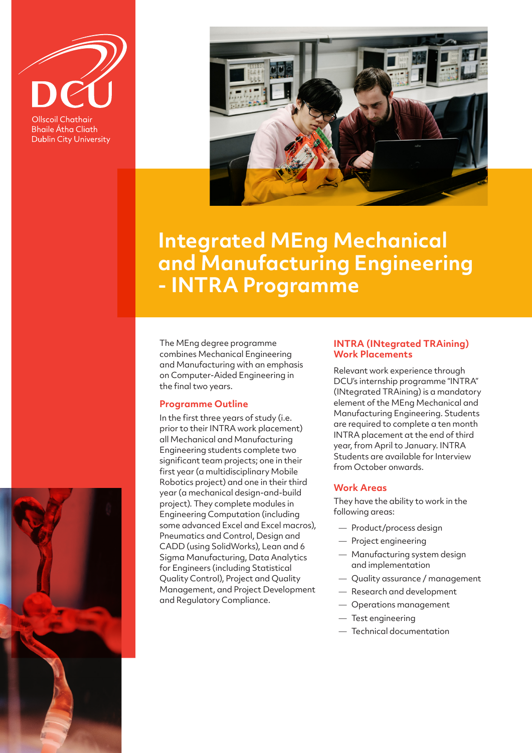

**Bhaile Átha Cliath Dublin City University** 



# **Integrated MEng Mechanical and Manufacturing Engineering - INTRA Programme**

The MEng degree programme combines Mechanical Engineering and Manufacturing with an emphasis on Computer-Aided Engineering in the final two years.

### **Programme Outline**

In the first three years of study (i.e. prior to their INTRA work placement) all Mechanical and Manufacturing Engineering students complete two significant team projects; one in their first year (a multidisciplinary Mobile Robotics project) and one in their third year (a mechanical design-and-build project). They complete modules in Engineering Computation (including some advanced Excel and Excel macros), Pneumatics and Control, Design and CADD (using SolidWorks), Lean and 6 Sigma Manufacturing, Data Analytics for Engineers (including Statistical Quality Control), Project and Quality Management, and Project Development and Regulatory Compliance.

#### **INTRA (INtegrated TRAining) Work Placements**

Relevant work experience through DCU's internship programme "INTRA" (INtegrated TRAining) is a mandatory element of the MEng Mechanical and Manufacturing Engineering. Students are required to complete a ten month INTRA placement at the end of third year, from April to January. INTRA Students are available for Interview from October onwards.

#### **Work Areas**

They have the ability to work in the following areas:

- Product/process design
- Project engineering
- Manufacturing system design and implementation
- Quality assurance / management
- Research and development
- Operations management
- Test engineering
- Technical documentation